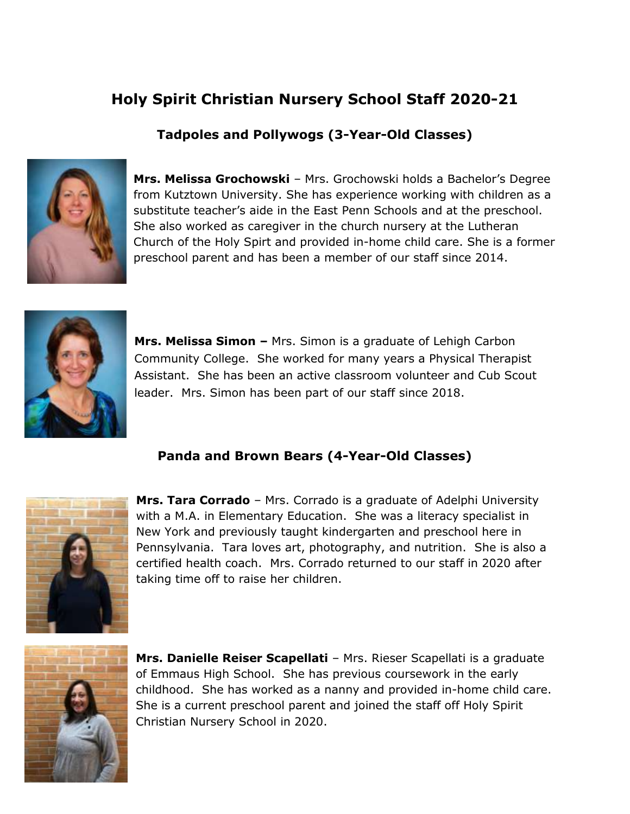# **Holy Spirit Christian Nursery School Staff 2020-21**

## **Tadpoles and Pollywogs (3-Year-Old Classes)**



**Mrs. Melissa Grochowski** – Mrs. Grochowski holds a Bachelor's Degree from Kutztown University. She has experience working with children as a substitute teacher's aide in the East Penn Schools and at the preschool. She also worked as caregiver in the church nursery at the Lutheran Church of the Holy Spirt and provided in-home child care. She is a former preschool parent and has been a member of our staff since 2014.



**Mrs. Melissa Simon –** Mrs. Simon is a graduate of Lehigh Carbon Community College. She worked for many years a Physical Therapist Assistant. She has been an active classroom volunteer and Cub Scout leader. Mrs. Simon has been part of our staff since 2018.

### **Panda and Brown Bears (4-Year-Old Classes)**



**Mrs. Tara Corrado** – Mrs. Corrado is a graduate of Adelphi University with a M.A. in Elementary Education. She was a literacy specialist in New York and previously taught kindergarten and preschool here in Pennsylvania. Tara loves art, photography, and nutrition. She is also a certified health coach. Mrs. Corrado returned to our staff in 2020 after taking time off to raise her children.



**Mrs. Danielle Reiser Scapellati** – Mrs. Rieser Scapellati is a graduate of Emmaus High School. She has previous coursework in the early childhood. She has worked as a nanny and provided in-home child care. She is a current preschool parent and joined the staff off Holy Spirit Christian Nursery School in 2020.